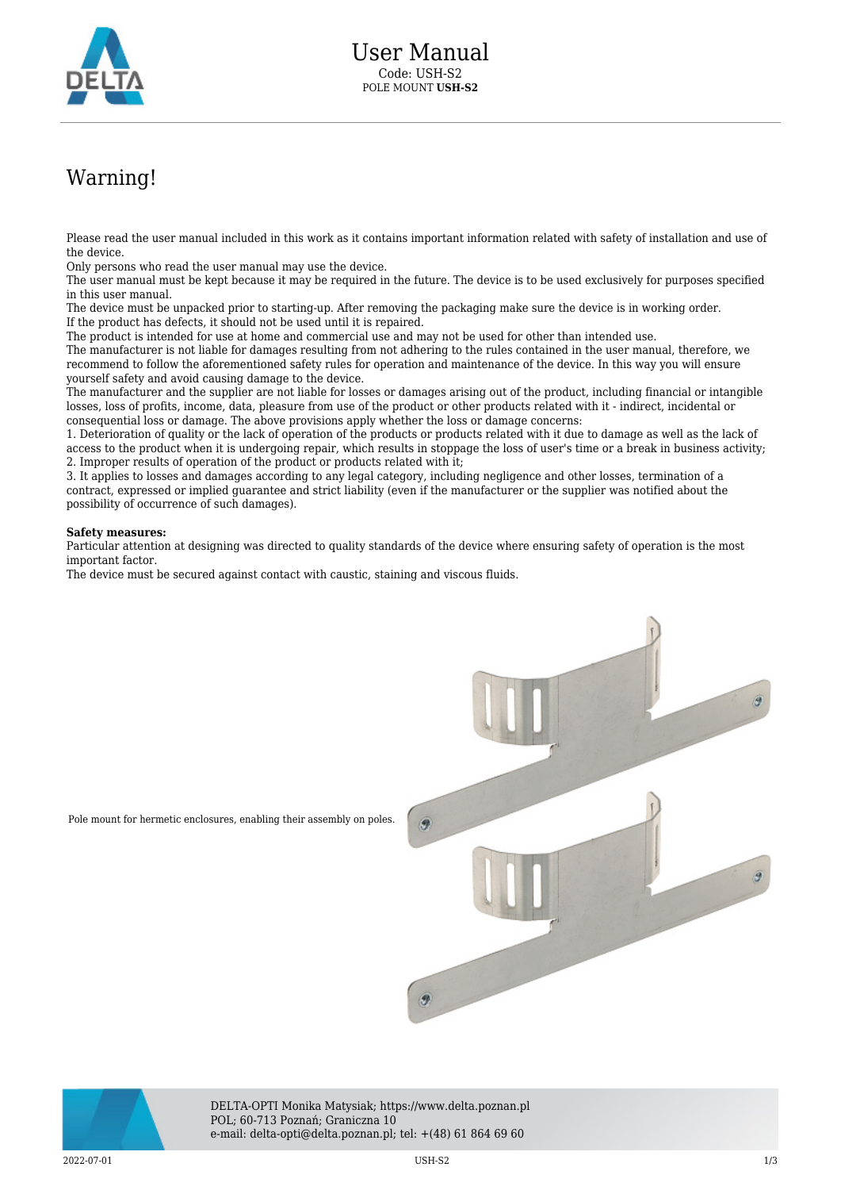

## Warning!

Please read the user manual included in this work as it contains important information related with safety of installation and use of the device.

Only persons who read the user manual may use the device.

The user manual must be kept because it may be required in the future. The device is to be used exclusively for purposes specified in this user manual.

The device must be unpacked prior to starting-up. After removing the packaging make sure the device is in working order. If the product has defects, it should not be used until it is repaired.

The product is intended for use at home and commercial use and may not be used for other than intended use.

The manufacturer is not liable for damages resulting from not adhering to the rules contained in the user manual, therefore, we recommend to follow the aforementioned safety rules for operation and maintenance of the device. In this way you will ensure yourself safety and avoid causing damage to the device.

The manufacturer and the supplier are not liable for losses or damages arising out of the product, including financial or intangible losses, loss of profits, income, data, pleasure from use of the product or other products related with it - indirect, incidental or consequential loss or damage. The above provisions apply whether the loss or damage concerns:

1. Deterioration of quality or the lack of operation of the products or products related with it due to damage as well as the lack of access to the product when it is undergoing repair, which results in stoppage the loss of user's time or a break in business activity; 2. Improper results of operation of the product or products related with it;

3. It applies to losses and damages according to any legal category, including negligence and other losses, termination of a contract, expressed or implied guarantee and strict liability (even if the manufacturer or the supplier was notified about the possibility of occurrence of such damages).

## **Safety measures:**

Particular attention at designing was directed to quality standards of the device where ensuring safety of operation is the most important factor.

The device must be secured against contact with caustic, staining and viscous fluids.



DELTA-OPTI Monika Matysiak; https://www.delta.poznan.pl POL; 60-713 Poznań; Graniczna 10 e-mail: delta-opti@delta.poznan.pl; tel: +(48) 61 864 69 60

 $2022-07-01$  and  $1/3$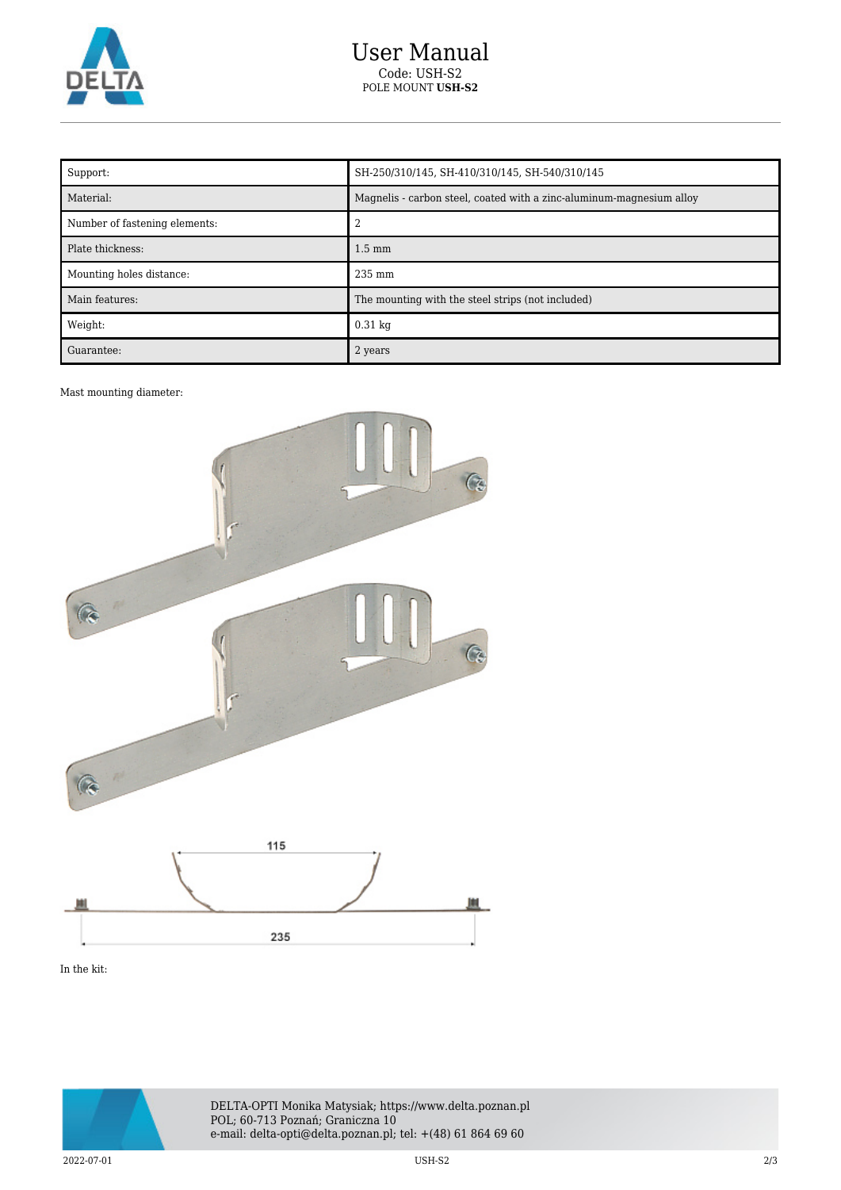

| Support:                      | SH-250/310/145, SH-410/310/145, SH-540/310/145                       |
|-------------------------------|----------------------------------------------------------------------|
| Material:                     | Magnelis - carbon steel, coated with a zinc-aluminum-magnesium alloy |
| Number of fastening elements: |                                                                      |
| Plate thickness:              | $1.5 \text{ mm}$                                                     |
| Mounting holes distance:      | $235 \text{ mm}$                                                     |
| Main features:                | The mounting with the steel strips (not included)                    |
| Weight:                       | $0.31 \text{ kg}$                                                    |
| Guarantee:                    | 2 years                                                              |

## Mast mounting diameter:



In the kit:



DELTA-OPTI Monika Matysiak; https://www.delta.poznan.pl POL; 60-713 Poznań; Graniczna 10 e-mail: delta-opti@delta.poznan.pl; tel: +(48) 61 864 69 60

2022-07-01 USH-S2 2/3